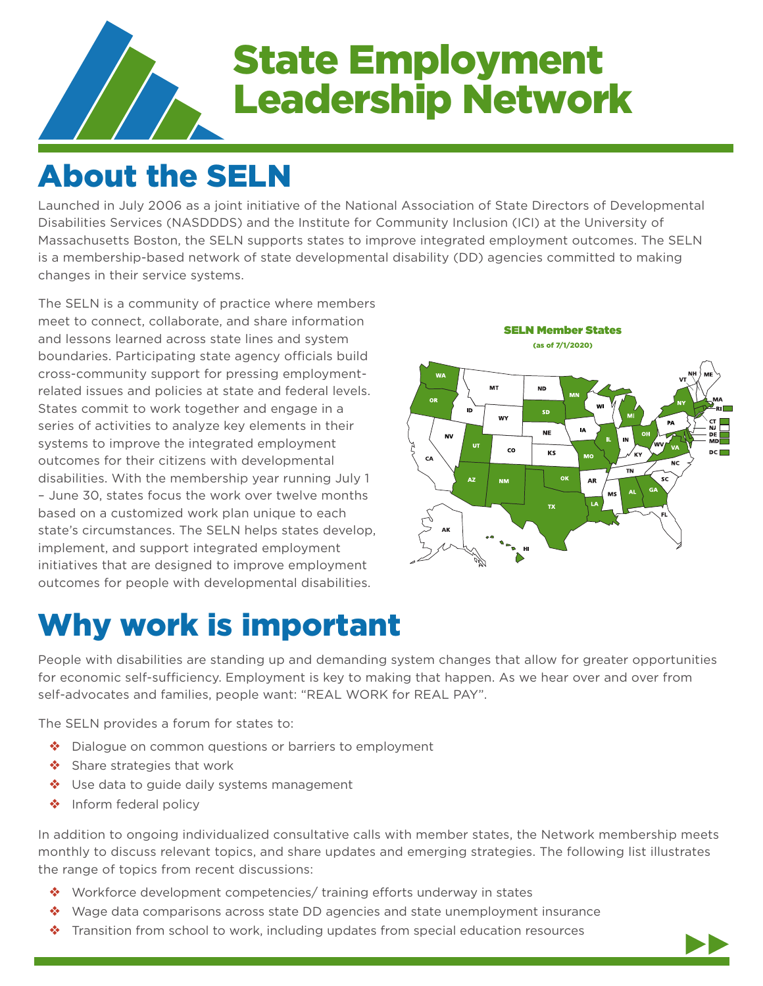

# State Employment Leadership Network

# About the SELN

Launched in July 2006 as a joint initiative of the National Association of State Directors of Developmental Disabilities Services (NASDDDS) and the Institute for Community Inclusion (ICI) at the University of Massachusetts Boston, the SELN supports states to improve integrated employment outcomes. The SELN is a membership-based network of state developmental disability (DD) agencies committed to making changes in their service systems.

The SELN is a community of practice where members meet to connect, collaborate, and share information and lessons learned across state lines and system boundaries. Participating state agency officials build cross-community support for pressing employmentrelated issues and policies at state and federal levels. States commit to work together and engage in a series of activities to analyze key elements in their systems to improve the integrated employment outcomes for their citizens with developmental disabilities. With the membership year running July 1 – June 30, states focus the work over twelve months based on a customized work plan unique to each state's circumstances. The SELN helps states develop, implement, and support integrated employment initiatives that are designed to improve employment outcomes for people with developmental disabilities.



# Why work is important

People with disabilities are standing up and demanding system changes that allow for greater opportunities for economic self-sufficiency. Employment is key to making that happen. As we hear over and over from self-advocates and families, people want: "REAL WORK for REAL PAY".

The SELN provides a forum for states to:

- ❖ Dialogue on common questions or barriers to employment
- ❖ Share strategies that work
- ❖ Use data to guide daily systems management
- ❖ Inform federal policy

In addition to ongoing individualized consultative calls with member states, the Network membership meets monthly to discuss relevant topics, and share updates and emerging strategies. The following list illustrates the range of topics from recent discussions:

- ❖ Workforce development competencies/ training efforts underway in states
- ❖ Wage data comparisons across state DD agencies and state unemployment insurance
- ❖ Transition from school to work, including updates from special education resources